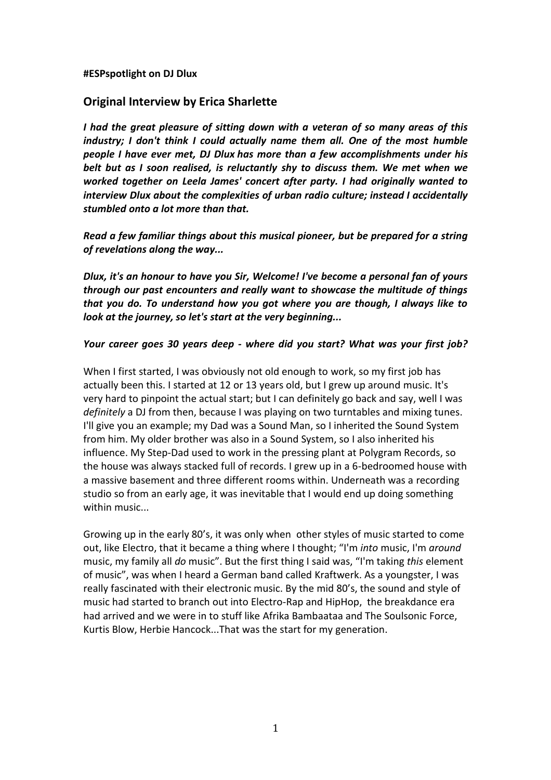#### **#ESPspotlight on DJ Dlux**

# **Original Interview by Erica Sharlette**

*I had the great pleasure of sitting down with a veteran of so many areas of this industry; I don't think I could actually name them all. One of the most humble people I have ever met, DJ Dlux has more than a few accomplishments under his belt but as I soon realised, is reluctantly shy to discuss them. We met when we worked together on Leela James' concert after party. I had originally wanted to interview Dlux about the complexities of urban radio culture; instead I accidentally stumbled onto a lot more than that.*

*Read a few familiar things about this musical pioneer, but be prepared for a string of revelations along the way...*

*Dlux, it's an honour to have you Sir, Welcome! I've become a personal fan of yours through our past encounters and really want to showcase the multitude of things that you do. To understand how you got where you are though, I always like to look at the journey, so let's start at the very beginning...*

#### *Your career goes 30 years deep - where did you start? What was your first job?*

When I first started, I was obviously not old enough to work, so my first job has actually been this. I started at 12 or 13 years old, but I grew up around music. It's very hard to pinpoint the actual start; but I can definitely go back and say, well I was *definitely* a DJ from then, because I was playing on two turntables and mixing tunes. I'll give you an example; my Dad was a Sound Man, so I inherited the Sound System from him. My older brother was also in a Sound System, so I also inherited his influence. My Step-Dad used to work in the pressing plant at Polygram Records, so the house was always stacked full of records. I grew up in a 6-bedroomed house with a massive basement and three different rooms within. Underneath was a recording studio so from an early age, it was inevitable that I would end up doing something within music...

Growing up in the early 80's, it was only when other styles of music started to come out, like Electro, that it became a thing where I thought; "I'm *into* music, I'm *around*  music, my family all *do* music". But the first thing I said was, "I'm taking *this* element of music", was when I heard a German band called Kraftwerk. As a youngster, I was really fascinated with their electronic music. By the mid 80's, the sound and style of music had started to branch out into Electro-Rap and HipHop, the breakdance era had arrived and we were in to stuff like Afrika Bambaataa and The Soulsonic Force, Kurtis Blow, Herbie Hancock...That was the start for my generation.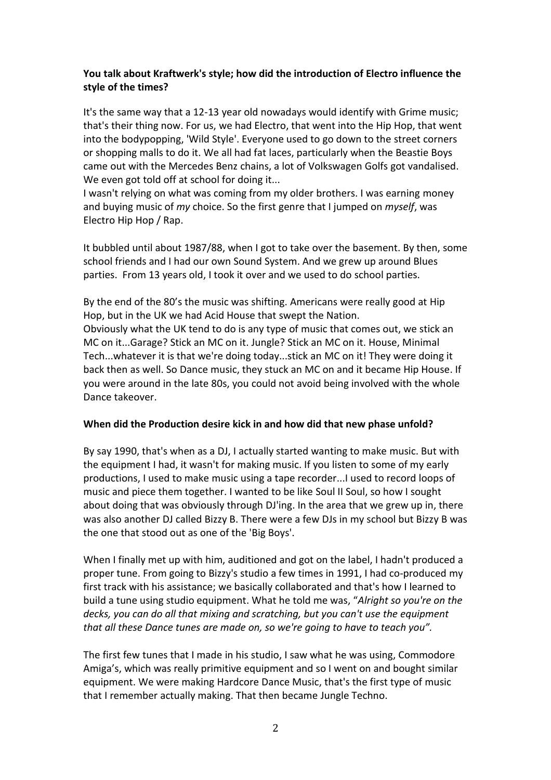# **You talk about Kraftwerk's style; how did the introduction of Electro influence the style of the times?**

It's the same way that a 12-13 year old nowadays would identify with Grime music; that's their thing now. For us, we had Electro, that went into the Hip Hop, that went into the bodypopping, 'Wild Style'. Everyone used to go down to the street corners or shopping malls to do it. We all had fat laces, particularly when the Beastie Boys came out with the Mercedes Benz chains, a lot of Volkswagen Golfs got vandalised. We even got told off at school for doing it...

I wasn't relying on what was coming from my older brothers. I was earning money and buying music of *my* choice. So the first genre that I jumped on *myself*, was Electro Hip Hop / Rap.

It bubbled until about 1987/88, when I got to take over the basement. By then, some school friends and I had our own Sound System. And we grew up around Blues parties. From 13 years old, I took it over and we used to do school parties.

By the end of the 80's the music was shifting. Americans were really good at Hip Hop, but in the UK we had Acid House that swept the Nation. Obviously what the UK tend to do is any type of music that comes out, we stick an MC on it...Garage? Stick an MC on it. Jungle? Stick an MC on it. House, Minimal Tech...whatever it is that we're doing today...stick an MC on it! They were doing it back then as well. So Dance music, they stuck an MC on and it became Hip House. If you were around in the late 80s, you could not avoid being involved with the whole Dance takeover.

### **When did the Production desire kick in and how did that new phase unfold?**

By say 1990, that's when as a DJ, I actually started wanting to make music. But with the equipment I had, it wasn't for making music. If you listen to some of my early productions, I used to make music using a tape recorder...I used to record loops of music and piece them together. I wanted to be like Soul II Soul, so how I sought about doing that was obviously through DJ'ing. In the area that we grew up in, there was also another DJ called Bizzy B. There were a few DJs in my school but Bizzy B was the one that stood out as one of the 'Big Boys'.

When I finally met up with him, auditioned and got on the label, I hadn't produced a proper tune. From going to Bizzy's studio a few times in 1991, I had co-produced my first track with his assistance; we basically collaborated and that's how I learned to build a tune using studio equipment. What he told me was, "*Alright so you're on the decks, you can do all that mixing and scratching, but you can't use the equipment that all these Dance tunes are made on, so we're going to have to teach you".*

The first few tunes that I made in his studio, I saw what he was using, Commodore Amiga's, which was really primitive equipment and so I went on and bought similar equipment. We were making Hardcore Dance Music, that's the first type of music that I remember actually making. That then became Jungle Techno.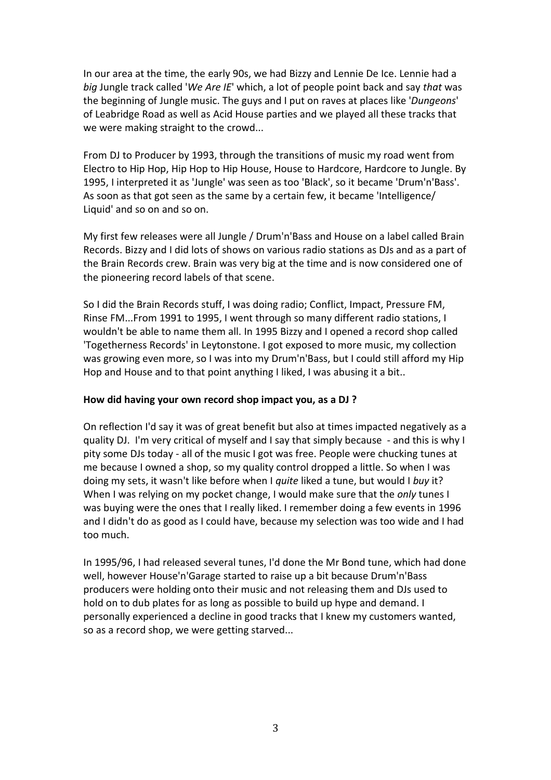In our area at the time, the early 90s, we had Bizzy and Lennie De Ice. Lennie had a *big* Jungle track called '*We Are IE*' which, a lot of people point back and say *that* was the beginning of Jungle music. The guys and I put on raves at places like '*Dungeons*' of Leabridge Road as well as Acid House parties and we played all these tracks that we were making straight to the crowd...

From DJ to Producer by 1993, through the transitions of music my road went from Electro to Hip Hop, Hip Hop to Hip House, House to Hardcore, Hardcore to Jungle. By 1995, I interpreted it as 'Jungle' was seen as too 'Black', so it became 'Drum'n'Bass'. As soon as that got seen as the same by a certain few, it became 'Intelligence/ Liquid' and so on and so on.

My first few releases were all Jungle / Drum'n'Bass and House on a label called Brain Records. Bizzy and I did lots of shows on various radio stations as DJs and as a part of the Brain Records crew. Brain was very big at the time and is now considered one of the pioneering record labels of that scene.

So I did the Brain Records stuff, I was doing radio; Conflict, Impact, Pressure FM, Rinse FM...From 1991 to 1995, I went through so many different radio stations, I wouldn't be able to name them all. In 1995 Bizzy and I opened a record shop called 'Togetherness Records' in Leytonstone. I got exposed to more music, my collection was growing even more, so I was into my Drum'n'Bass, but I could still afford my Hip Hop and House and to that point anything I liked, I was abusing it a bit..

#### **How did having your own record shop impact you, as a DJ ?**

On reflection I'd say it was of great benefit but also at times impacted negatively as a quality DJ. I'm very critical of myself and I say that simply because - and this is why I pity some DJs today - all of the music I got was free. People were chucking tunes at me because I owned a shop, so my quality control dropped a little. So when I was doing my sets, it wasn't like before when I *quite* liked a tune, but would I *buy* it? When I was relying on my pocket change, I would make sure that the *only* tunes I was buying were the ones that I really liked. I remember doing a few events in 1996 and I didn't do as good as I could have, because my selection was too wide and I had too much.

In 1995/96, I had released several tunes, I'd done the Mr Bond tune, which had done well, however House'n'Garage started to raise up a bit because Drum'n'Bass producers were holding onto their music and not releasing them and DJs used to hold on to dub plates for as long as possible to build up hype and demand. I personally experienced a decline in good tracks that I knew my customers wanted, so as a record shop, we were getting starved...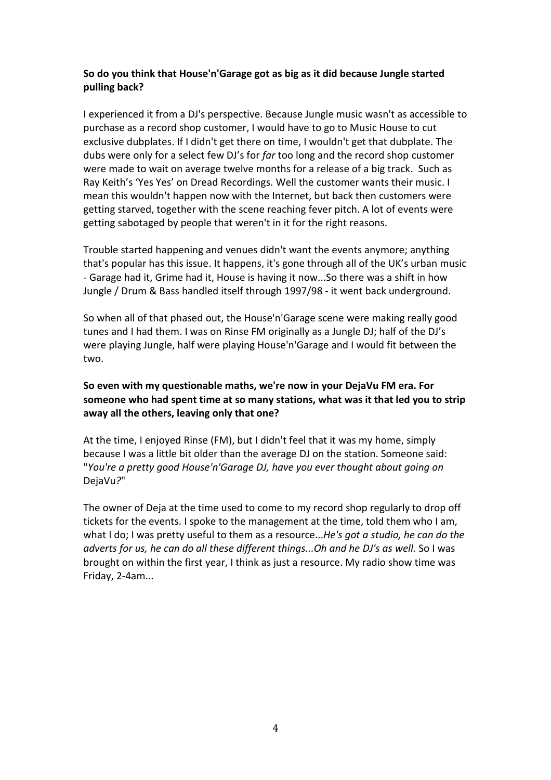## **So do you think that House'n'Garage got as big as it did because Jungle started pulling back?**

I experienced it from a DJ's perspective. Because Jungle music wasn't as accessible to purchase as a record shop customer, I would have to go to Music House to cut exclusive dubplates. If I didn't get there on time, I wouldn't get that dubplate. The dubs were only for a select few DJ's for *far* too long and the record shop customer were made to wait on average twelve months for a release of a big track. Such as Ray Keith's 'Yes Yes' on Dread Recordings. Well the customer wants their music. I mean this wouldn't happen now with the Internet, but back then customers were getting starved, together with the scene reaching fever pitch. A lot of events were getting sabotaged by people that weren't in it for the right reasons.

Trouble started happening and venues didn't want the events anymore; anything that's popular has this issue. It happens, it's gone through all of the UK's urban music - Garage had it, Grime had it, House is having it now...So there was a shift in how Jungle / Drum & Bass handled itself through 1997/98 - it went back underground.

So when all of that phased out, the House'n'Garage scene were making really good tunes and I had them. I was on Rinse FM originally as a Jungle DJ; half of the DJ's were playing Jungle, half were playing House'n'Garage and I would fit between the two.

# **So even with my questionable maths, we're now in your DejaVu FM era. For someone who had spent time at so many stations, what was it that led you to strip away all the others, leaving only that one?**

At the time, I enjoyed Rinse (FM), but I didn't feel that it was my home, simply because I was a little bit older than the average DJ on the station. Someone said: "*You're a pretty good House'n'Garage DJ, have you ever thought about going on*  DejaVu*?*"

The owner of Deja at the time used to come to my record shop regularly to drop off tickets for the events. I spoke to the management at the time, told them who I am, what I do; I was pretty useful to them as a resource...*He's got a studio, he can do the adverts for us, he can do all these different things...Oh and he DJ's as well.* So I was brought on within the first year, I think as just a resource. My radio show time was Friday, 2-4am...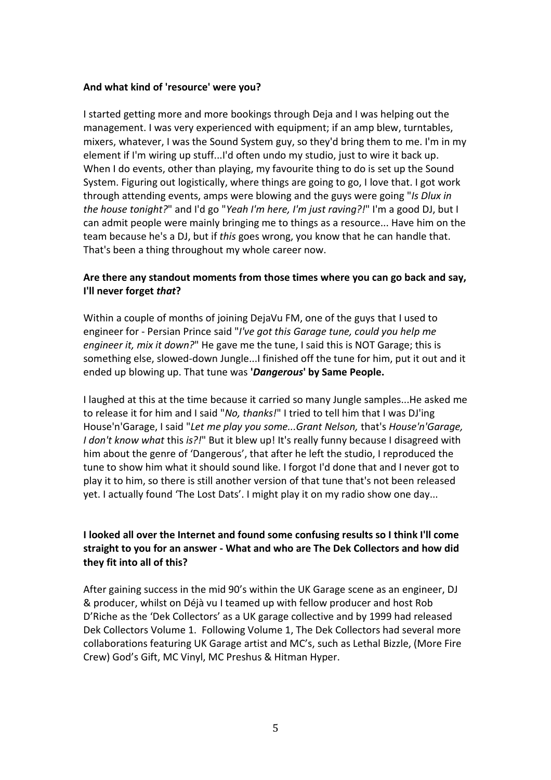#### **And what kind of 'resource' were you?**

I started getting more and more bookings through Deja and I was helping out the management. I was very experienced with equipment; if an amp blew, turntables, mixers, whatever, I was the Sound System guy, so they'd bring them to me. I'm in my element if I'm wiring up stuff...I'd often undo my studio, just to wire it back up. When I do events, other than playing, my favourite thing to do is set up the Sound System. Figuring out logistically, where things are going to go, I love that. I got work through attending events, amps were blowing and the guys were going "*Is Dlux in the house tonight?*" and I'd go "*Yeah I'm here, I'm just raving?!*" I'm a good DJ, but I can admit people were mainly bringing me to things as a resource... Have him on the team because he's a DJ, but if *this* goes wrong, you know that he can handle that. That's been a thing throughout my whole career now.

# **Are there any standout moments from those times where you can go back and say, I'll never forget** *that***?**

Within a couple of months of joining DejaVu FM, one of the guys that I used to engineer for - Persian Prince said "*I've got this Garage tune, could you help me engineer it, mix it down?*" He gave me the tune, I said this is NOT Garage; this is something else, slowed-down Jungle...I finished off the tune for him, put it out and it ended up blowing up. That tune was **'***Dangerous***' by Same People.**

I laughed at this at the time because it carried so many Jungle samples...He asked me to release it for him and I said "*No, thanks!*" I tried to tell him that I was DJ'ing House'n'Garage, I said "*Let me play you some...Grant Nelson,* that's *House'n'Garage, I don't know what* this *is?!*" But it blew up! It's really funny because I disagreed with him about the genre of 'Dangerous', that after he left the studio, I reproduced the tune to show him what it should sound like. I forgot I'd done that and I never got to play it to him, so there is still another version of that tune that's not been released yet. I actually found 'The Lost Dats'. I might play it on my radio show one day...

# **I looked all over the Internet and found some confusing results so I think I'll come straight to you for an answer - What and who are The Dek Collectors and how did they fit into all of this?**

After gaining success in the mid 90's within the UK Garage scene as an engineer, DJ & producer, whilst on Déjà vu I teamed up with fellow producer and host Rob D'Riche as the 'Dek Collectors' as a UK garage collective and by 1999 had released Dek Collectors Volume 1. Following Volume 1, The Dek Collectors had several more collaborations featuring UK Garage artist and MC's, such as Lethal Bizzle, (More Fire Crew) God's Gift, MC Vinyl, MC Preshus & Hitman Hyper.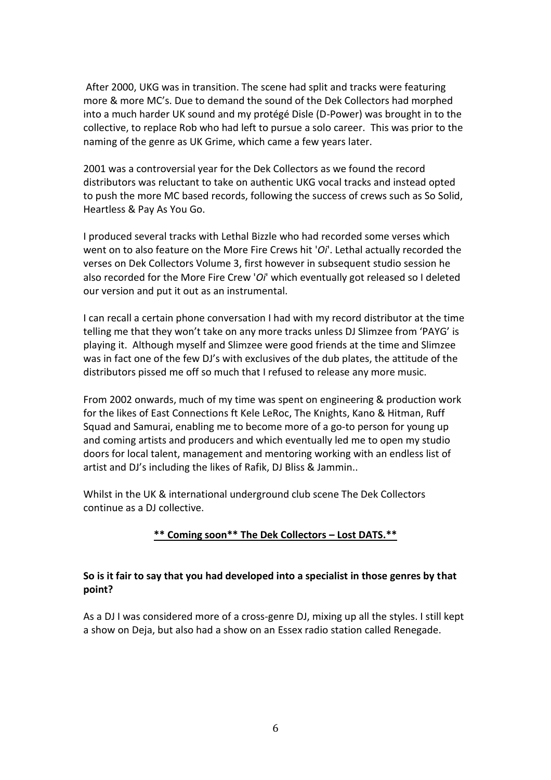After 2000, UKG was in transition. The scene had split and tracks were featuring more & more MC's. Due to demand the sound of the Dek Collectors had morphed into a much harder UK sound and my protégé Disle (D-Power) was brought in to the collective, to replace Rob who had left to pursue a solo career. This was prior to the naming of the genre as UK Grime, which came a few years later.

2001 was a controversial year for the Dek Collectors as we found the record distributors was reluctant to take on authentic UKG vocal tracks and instead opted to push the more MC based records, following the success of crews such as So Solid, Heartless & Pay As You Go.

I produced several tracks with Lethal Bizzle who had recorded some verses which went on to also feature on the More Fire Crews hit '*Oi*'. Lethal actually recorded the verses on Dek Collectors Volume 3, first however in subsequent studio session he also recorded for the More Fire Crew '*Oi*' which eventually got released so I deleted our version and put it out as an instrumental.

I can recall a certain phone conversation I had with my record distributor at the time telling me that they won't take on any more tracks unless DJ Slimzee from 'PAYG' is playing it. Although myself and Slimzee were good friends at the time and Slimzee was in fact one of the few DJ's with exclusives of the dub plates, the attitude of the distributors pissed me off so much that I refused to release any more music.

From 2002 onwards, much of my time was spent on engineering & production work for the likes of East Connections ft Kele LeRoc, The Knights, Kano & Hitman, Ruff Squad and Samurai, enabling me to become more of a go-to person for young up and coming artists and producers and which eventually led me to open my studio doors for local talent, management and mentoring working with an endless list of artist and DJ's including the likes of Rafik, DJ Bliss & Jammin..

Whilst in the UK & international underground club scene The Dek Collectors continue as a DJ collective.

### **\*\* Coming soon\*\* The Dek Collectors – Lost DATS.\*\***

#### **So is it fair to say that you had developed into a specialist in those genres by that point?**

As a DJ I was considered more of a cross-genre DJ, mixing up all the styles. I still kept a show on Deja, but also had a show on an Essex radio station called Renegade.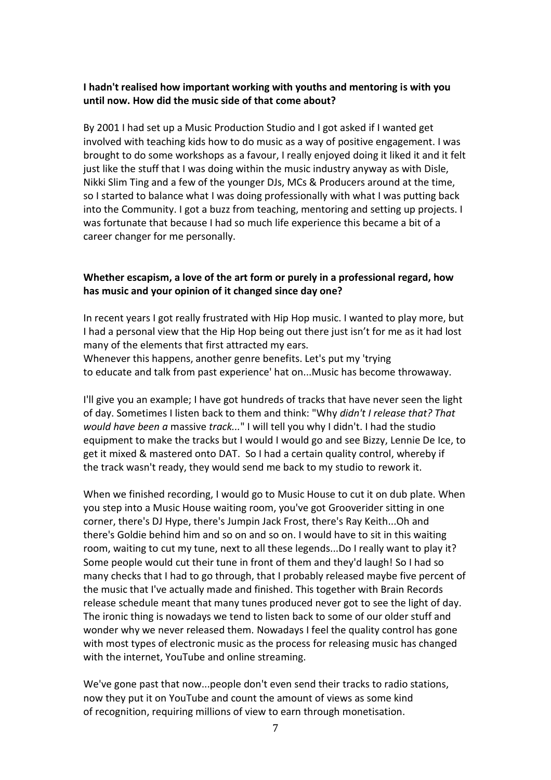### **I hadn't realised how important working with youths and mentoring is with you until now. How did the music side of that come about?**

By 2001 I had set up a Music Production Studio and I got asked if I wanted get involved with teaching kids how to do music as a way of positive engagement. I was brought to do some workshops as a favour, I really enjoyed doing it liked it and it felt just like the stuff that I was doing within the music industry anyway as with Disle, Nikki Slim Ting and a few of the younger DJs, MCs & Producers around at the time, so I started to balance what I was doing professionally with what I was putting back into the Community. I got a buzz from teaching, mentoring and setting up projects. I was fortunate that because I had so much life experience this became a bit of a career changer for me personally.

### **Whether escapism, a love of the art form or purely in a professional regard, how has music and your opinion of it changed since day one?**

In recent years I got really frustrated with Hip Hop music. I wanted to play more, but I had a personal view that the Hip Hop being out there just isn't for me as it had lost many of the elements that first attracted my ears.

Whenever this happens, another genre benefits. Let's put my 'trying to educate and talk from past experience' hat on...Music has become throwaway.

I'll give you an example; I have got hundreds of tracks that have never seen the light of day. Sometimes I listen back to them and think: "Why *didn't I release that? That would have been a* massive *track...*" I will tell you why I didn't. I had the studio equipment to make the tracks but I would I would go and see Bizzy, Lennie De Ice, to get it mixed & mastered onto DAT. So I had a certain quality control, whereby if the track wasn't ready, they would send me back to my studio to rework it.

When we finished recording, I would go to Music House to cut it on dub plate. When you step into a Music House waiting room, you've got Grooverider sitting in one corner, there's DJ Hype, there's Jumpin Jack Frost, there's Ray Keith...Oh and there's Goldie behind him and so on and so on. I would have to sit in this waiting room, waiting to cut my tune, next to all these legends...Do I really want to play it? Some people would cut their tune in front of them and they'd laugh! So I had so many checks that I had to go through, that I probably released maybe five percent of the music that I've actually made and finished. This together with Brain Records release schedule meant that many tunes produced never got to see the light of day. The ironic thing is nowadays we tend to listen back to some of our older stuff and wonder why we never released them. Nowadays I feel the quality control has gone with most types of electronic music as the process for releasing music has changed with the internet, YouTube and online streaming.

We've gone past that now...people don't even send their tracks to radio stations, now they put it on YouTube and count the amount of views as some kind of recognition, requiring millions of view to earn through monetisation.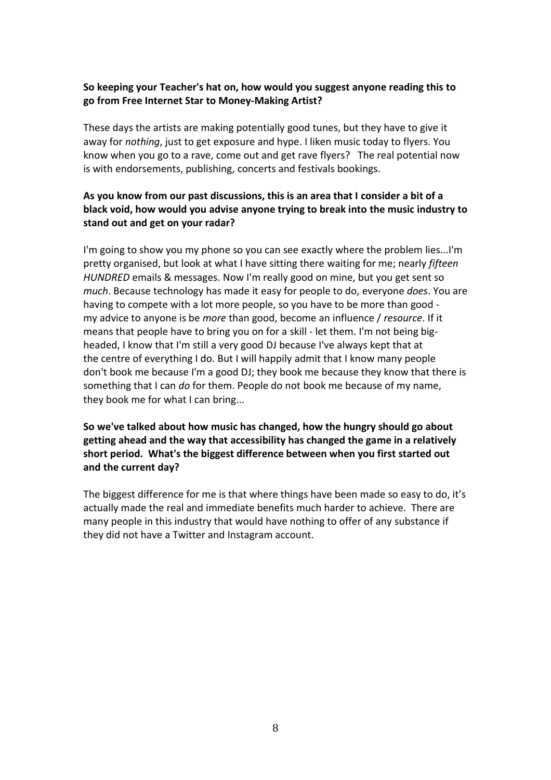### **So keeping your Teacher's hat on, how would you suggest anyone reading this to go from Free Internet Star to Money-Making Artist?**

These days the artists are making potentially good tunes, but they have to give it away for *nothing*, just to get exposure and hype. I liken music today to flyers. You know when you go to a rave, come out and get rave flyers? The real potential now is with endorsements, publishing, concerts and festivals bookings.

# **As you know from our past discussions, this is an area that I consider a bit of a black void, how would you advise anyone trying to break into the music industry to stand out and get on your radar?**

I'm going to show you my phone so you can see exactly where the problem lies...I'm pretty organised, but look at what I have sitting there waiting for me; nearly *fifteen HUNDRED* emails & messages. Now I'm really good on mine, but you get sent so *much*. Because technology has made it easy for people to do, everyone *does*. You are having to compete with a lot more people, so you have to be more than good my advice to anyone is be *more* than good, become an influence / *resource*. If it means that people have to bring you on for a skill - let them. I'm not being bigheaded, I know that I'm still a very good DJ because I've always kept that at the centre of everything I do. But I will happily admit that I know many people don't book me because I'm a good DJ; they book me because they know that there is something that I can *do* for them. People do not book me because of my name, they book me for what I can bring...

# **So we've talked about how music has changed, how the hungry should go about getting ahead and the way that accessibility has changed the game in a relatively short period. What's the biggest difference between when you first started out and the current day?**

The biggest difference for me is that where things have been made so easy to do, it's actually made the real and immediate benefits much harder to achieve. There are many people in this industry that would have nothing to offer of any substance if they did not have a Twitter and Instagram account.